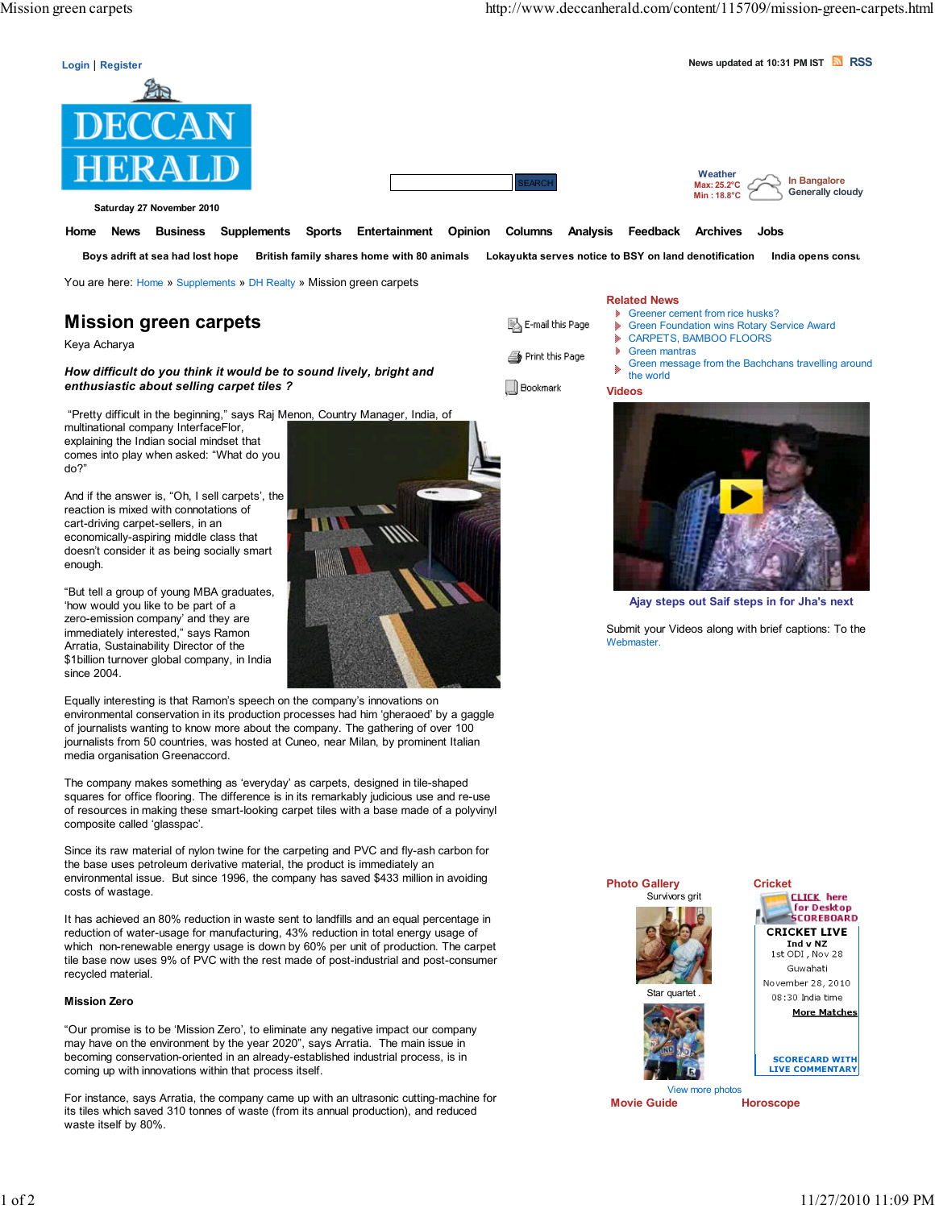

Saturday 27 November 2010

Home News Business Supplements Sports Entertainment Opinion Columns Analysis Feedback Archives Jobs

Boys adrift at sea had lost hope British family shares home with 80 animals Lokayukta serves notice to BSY on land denotification India opens consulate in B

You are here: Home » Supplements » DH Realty » Mission green carpets

# Mission green carpets

Keya Acharya

How difficult do you think it would be to sound lively, bright and enthusiastic about selling carpet tiles ?

"Pretty difficult in the beginning," says Raj Menon, Country Manager, India, of

multinational company InterfaceFlor, explaining the Indian social mindset that comes into play when asked: "What do you do?"

And if the answer is, "Oh, I sell carpets', the reaction is mixed with connotations of cart-driving carpet-sellers, in an economically-aspiring middle class that doesn't consider it as being socially smart enough.

"But tell a group of young MBA graduates, 'how would you like to be part of a zero-emission company' and they are immediately interested," says Ramon Arratia, Sustainability Director of the \$1billion turnover global company, in India since 2004.

Equally interesting is that Ramon's speech on the company's innovations on environmental conservation in its production processes had him 'gheraoed' by a gaggle of journalists wanting to know more about the company. The gathering of over 100 journalists from 50 countries, was hosted at Cuneo, near Milan, by prominent Italian media organisation Greenaccord.

The company makes something as 'everyday' as carpets, designed in tile-shaped squares for office flooring. The difference is in its remarkably judicious use and re-use of resources in making these smart-looking carpet tiles with a base made of a polyvinyl composite called 'glasspac'.

Since its raw material of nylon twine for the carpeting and PVC and fly-ash carbon for the base uses petroleum derivative material, the product is immediately an environmental issue. But since 1996, the company has saved \$433 million in avoiding costs of wastage.

It has achieved an 80% reduction in waste sent to landfills and an equal percentage in reduction of water-usage for manufacturing, 43% reduction in total energy usage of which non-renewable energy usage is down by 60% per unit of production. The carpet tile base now uses 9% of PVC with the rest made of post-industrial and post-consumer recycled material.

#### Mission Zero

"Our promise is to be 'Mission Zero', to eliminate any negative impact our company may have on the environment by the year 2020", says Arratia. The main issue in becoming conservation-oriented in an already-established industrial process, is in coming up with innovations within that process itself.

For instance, says Arratia, the company came up with an ultrasonic cutting-machine for its tiles which saved 310 tonnes of waste (from its annual production), and reduced waste itself by 80%.

## Related News

Videos

- 图 E-mail this Page ¥
- **Greener cement from rice husks?** Green Foundation wins Rotary Service Award
	- CARPETS, BAMBOO FLOORS
	- Green mantras ð.
	- Green message from the Bachchans travelling around × the world

## ∭ Bookmark

Print this Page



Ajay steps out Saif steps in for Jha's next

Submit your Videos along with brief captions: To the Webmaster.



Movie Guide Horoscope